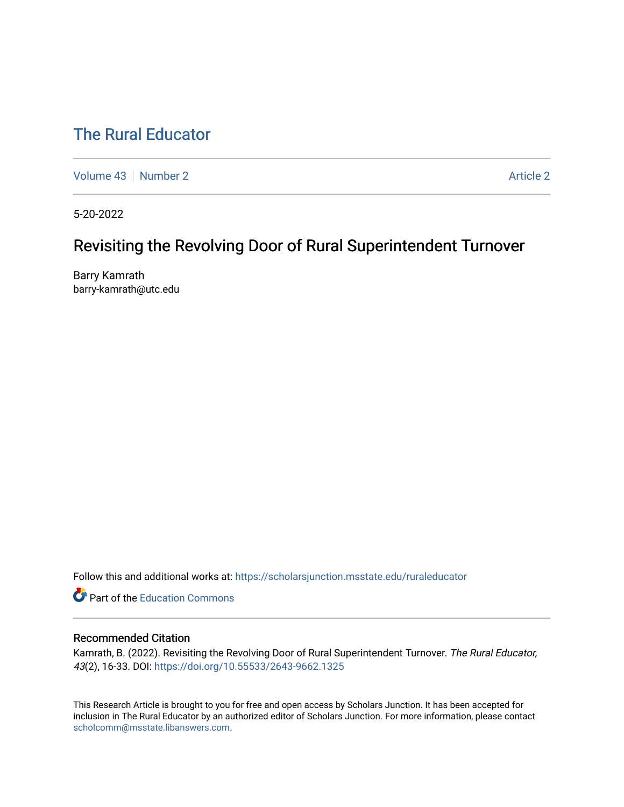# [The Rural Educator](https://scholarsjunction.msstate.edu/ruraleducator)

[Volume 43](https://scholarsjunction.msstate.edu/ruraleducator/vol43) [Number 2](https://scholarsjunction.msstate.edu/ruraleducator/vol43/iss2) Article 2

5-20-2022

# Revisiting the Revolving Door of Rural Superintendent Turnover

Barry Kamrath barry-kamrath@utc.edu

Follow this and additional works at: [https://scholarsjunction.msstate.edu/ruraleducator](https://scholarsjunction.msstate.edu/ruraleducator?utm_source=scholarsjunction.msstate.edu%2Fruraleducator%2Fvol43%2Fiss2%2F2&utm_medium=PDF&utm_campaign=PDFCoverPages)

**Part of the [Education Commons](https://network.bepress.com/hgg/discipline/784?utm_source=scholarsjunction.msstate.edu%2Fruraleducator%2Fvol43%2Fiss2%2F2&utm_medium=PDF&utm_campaign=PDFCoverPages)** 

# Recommended Citation

Kamrath, B. (2022). Revisiting the Revolving Door of Rural Superintendent Turnover. The Rural Educator, 43(2), 16-33. DOI: <https://doi.org/10.55533/2643-9662.1325>

This Research Article is brought to you for free and open access by Scholars Junction. It has been accepted for inclusion in The Rural Educator by an authorized editor of Scholars Junction. For more information, please contact [scholcomm@msstate.libanswers.com.](mailto:scholcomm@msstate.libanswers.com)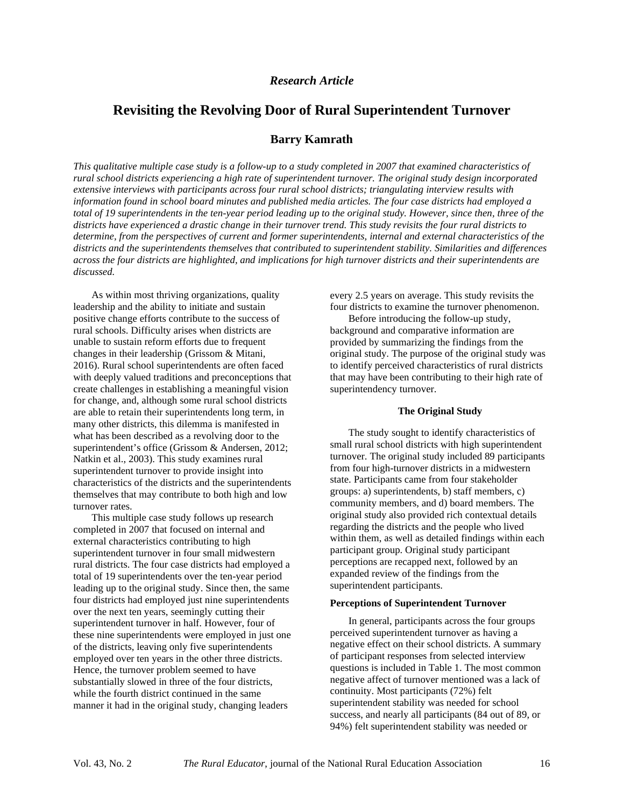# *Research Article*

# **Revisiting the Revolving Door of Rural Superintendent Turnover**

# **Barry Kamrath**

*This qualitative multiple case study is a follow-up to a study completed in 2007 that examined characteristics of rural school districts experiencing a high rate of superintendent turnover. The original study design incorporated extensive interviews with participants across four rural school districts; triangulating interview results with information found in school board minutes and published media articles. The four case districts had employed a total of 19 superintendents in the ten-year period leading up to the original study. However, since then, three of the districts have experienced a drastic change in their turnover trend. This study revisits the four rural districts to determine, from the perspectives of current and former superintendents, internal and external characteristics of the districts and the superintendents themselves that contributed to superintendent stability. Similarities and differences across the four districts are highlighted, and implications for high turnover districts and their superintendents are discussed.*

As within most thriving organizations, quality leadership and the ability to initiate and sustain positive change efforts contribute to the success of rural schools. Difficulty arises when districts are unable to sustain reform efforts due to frequent changes in their leadership (Grissom & Mitani, 2016). Rural school superintendents are often faced with deeply valued traditions and preconceptions that create challenges in establishing a meaningful vision for change, and, although some rural school districts are able to retain their superintendents long term, in many other districts, this dilemma is manifested in what has been described as a revolving door to the superintendent's office (Grissom & Andersen, 2012; Natkin et al., 2003). This study examines rural superintendent turnover to provide insight into characteristics of the districts and the superintendents themselves that may contribute to both high and low turnover rates.

This multiple case study follows up research completed in 2007 that focused on internal and external characteristics contributing to high superintendent turnover in four small midwestern rural districts. The four case districts had employed a total of 19 superintendents over the ten-year period leading up to the original study. Since then, the same four districts had employed just nine superintendents over the next ten years, seemingly cutting their superintendent turnover in half. However, four of these nine superintendents were employed in just one of the districts, leaving only five superintendents employed over ten years in the other three districts. Hence, the turnover problem seemed to have substantially slowed in three of the four districts, while the fourth district continued in the same manner it had in the original study, changing leaders

every 2.5 years on average. This study revisits the four districts to examine the turnover phenomenon.

Before introducing the follow-up study, background and comparative information are provided by summarizing the findings from the original study. The purpose of the original study was to identify perceived characteristics of rural districts that may have been contributing to their high rate of superintendency turnover.

#### **The Original Study**

The study sought to identify characteristics of small rural school districts with high superintendent turnover. The original study included 89 participants from four high-turnover districts in a midwestern state. Participants came from four stakeholder groups: a) superintendents, b) staff members, c) community members, and d) board members. The original study also provided rich contextual details regarding the districts and the people who lived within them, as well as detailed findings within each participant group. Original study participant perceptions are recapped next, followed by an expanded review of the findings from the superintendent participants.

#### **Perceptions of Superintendent Turnover**

In general, participants across the four groups perceived superintendent turnover as having a negative effect on their school districts. A summary of participant responses from selected interview questions is included in Table 1. The most common negative affect of turnover mentioned was a lack of continuity. Most participants (72%) felt superintendent stability was needed for school success, and nearly all participants (84 out of 89, or 94%) felt superintendent stability was needed or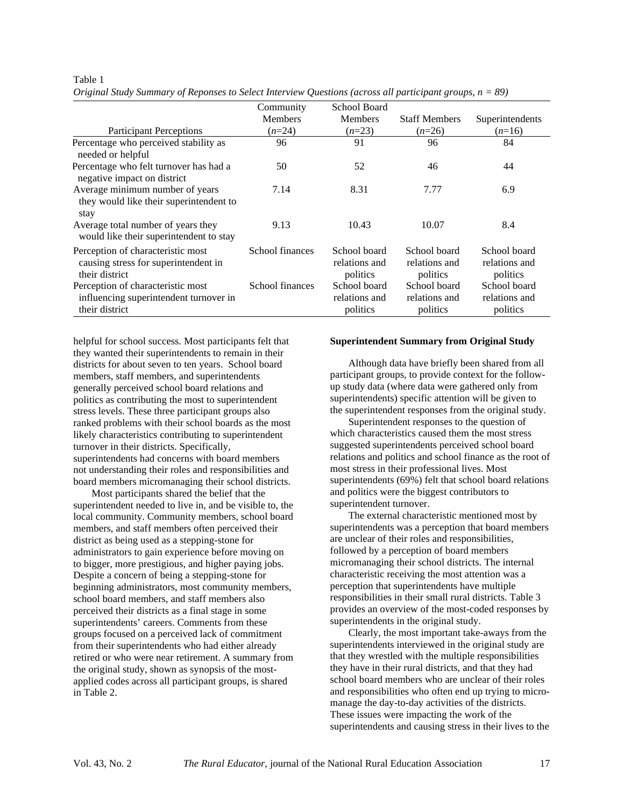#### Table 1

*Original Study Summary of Reponses to Select Interview Questions (across all participant groups, n = 89)*

|                                                                                               | Community<br><b>Members</b> | School Board<br><b>Members</b>            | <b>Staff Members</b>                      | Superintendents                           |
|-----------------------------------------------------------------------------------------------|-----------------------------|-------------------------------------------|-------------------------------------------|-------------------------------------------|
| <b>Participant Perceptions</b>                                                                | $(n=24)$                    | $(n=23)$                                  | $(n=26)$                                  | $(n=16)$                                  |
| Percentage who perceived stability as<br>needed or helpful                                    | 96                          | 91                                        | 96                                        | 84                                        |
| Percentage who felt turnover has had a<br>negative impact on district                         | 50                          | 52                                        | 46                                        | 44                                        |
| Average minimum number of years<br>they would like their superintendent to<br>stay            | 7.14                        | 8.31                                      | 7.77                                      | 6.9                                       |
| Average total number of years they<br>would like their superintendent to stay                 | 9.13                        | 10.43                                     | 10.07                                     | 8.4                                       |
| Perception of characteristic most<br>causing stress for superintendent in<br>their district   | School finances             | School board<br>relations and<br>politics | School board<br>relations and<br>politics | School board<br>relations and<br>politics |
| Perception of characteristic most<br>influencing superintendent turnover in<br>their district | School finances             | School board<br>relations and<br>politics | School board<br>relations and<br>politics | School board<br>relations and<br>politics |

helpful for school success. Most participants felt that they wanted their superintendents to remain in their districts for about seven to ten years. School board members, staff members, and superintendents generally perceived school board relations and politics as contributing the most to superintendent stress levels. These three participant groups also ranked problems with their school boards as the most likely characteristics contributing to superintendent turnover in their districts. Specifically, superintendents had concerns with board members not understanding their roles and responsibilities and board members micromanaging their school districts.

Most participants shared the belief that the superintendent needed to live in, and be visible to, the local community. Community members, school board members, and staff members often perceived their district as being used as a stepping-stone for administrators to gain experience before moving on to bigger, more prestigious, and higher paying jobs. Despite a concern of being a stepping-stone for beginning administrators, most community members, school board members, and staff members also perceived their districts as a final stage in some superintendents' careers. Comments from these groups focused on a perceived lack of commitment from their superintendents who had either already retired or who were near retirement. A summary from the original study, shown as synopsis of the mostapplied codes across all participant groups, is shared in Table 2.

#### **Superintendent Summary from Original Study**

Although data have briefly been shared from all participant groups, to provide context for the followup study data (where data were gathered only from superintendents) specific attention will be given to the superintendent responses from the original study.

Superintendent responses to the question of which characteristics caused them the most stress suggested superintendents perceived school board relations and politics and school finance as the root of most stress in their professional lives. Most superintendents (69%) felt that school board relations and politics were the biggest contributors to superintendent turnover.

The external characteristic mentioned most by superintendents was a perception that board members are unclear of their roles and responsibilities, followed by a perception of board members micromanaging their school districts. The internal characteristic receiving the most attention was a perception that superintendents have multiple responsibilities in their small rural districts. Table 3 provides an overview of the most-coded responses by superintendents in the original study.

Clearly, the most important take-aways from the superintendents interviewed in the original study are that they wrestled with the multiple responsibilities they have in their rural districts, and that they had school board members who are unclear of their roles and responsibilities who often end up trying to micromanage the day-to-day activities of the districts. These issues were impacting the work of the superintendents and causing stress in their lives to the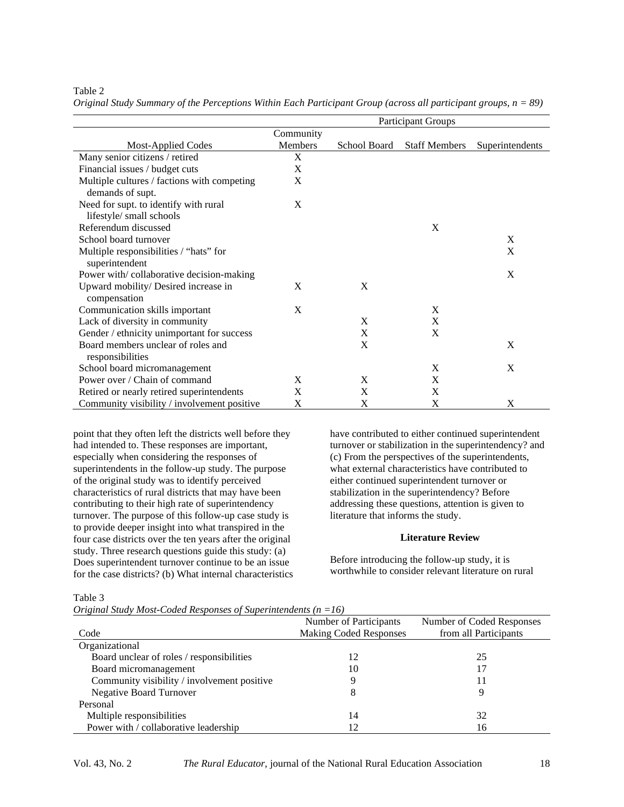#### Table 2

|                                             | Participant Groups |              |                      |                 |
|---------------------------------------------|--------------------|--------------|----------------------|-----------------|
|                                             | Community          |              |                      |                 |
| Most-Applied Codes                          | Members            | School Board | <b>Staff Members</b> | Superintendents |
| Many senior citizens / retired              | X                  |              |                      |                 |
| Financial issues / budget cuts              | X                  |              |                      |                 |
| Multiple cultures / factions with competing | X                  |              |                      |                 |
| demands of supt.                            |                    |              |                      |                 |
| Need for supt. to identify with rural       | X                  |              |                      |                 |
| lifestyle/ small schools                    |                    |              |                      |                 |
| Referendum discussed                        |                    |              | X                    |                 |
| School board turnover                       |                    |              |                      | X               |
| Multiple responsibilities / "hats" for      |                    |              |                      | X               |
| superintendent                              |                    |              |                      |                 |
| Power with/collaborative decision-making    |                    |              |                      | X               |
| Upward mobility/ Desired increase in        | X                  | X            |                      |                 |
| compensation                                |                    |              |                      |                 |
| Communication skills important              | X                  |              | X                    |                 |
| Lack of diversity in community              |                    | X            | X                    |                 |
| Gender / ethnicity unimportant for success  |                    | X            | X                    |                 |
| Board members unclear of roles and          |                    | X            |                      | X               |
| responsibilities                            |                    |              |                      |                 |
| School board micromanagement                |                    |              | X                    | X               |
| Power over / Chain of command               | X                  | X            | X                    |                 |
| Retired or nearly retired superintendents   | X                  | X            | X                    |                 |
| Community visibility / involvement positive | X                  | X            | X                    | X               |

*Original Study Summary of the Perceptions Within Each Participant Group (across all participant groups, n = 89)*

point that they often left the districts well before they had intended to. These responses are important, especially when considering the responses of superintendents in the follow-up study. The purpose of the original study was to identify perceived characteristics of rural districts that may have been contributing to their high rate of superintendency turnover. The purpose of this follow-up case study is to provide deeper insight into what transpired in the four case districts over the ten years after the original study. Three research questions guide this study: (a) Does superintendent turnover continue to be an issue for the case districts? (b) What internal characteristics have contributed to either continued superintendent turnover or stabilization in the superintendency? and (c) From the perspectives of the superintendents, what external characteristics have contributed to either continued superintendent turnover or stabilization in the superintendency? Before addressing these questions, attention is given to literature that informs the study.

#### **Literature Review**

Before introducing the follow-up study, it is worthwhile to consider relevant literature on rural

| Original Study Most-Coded Responses of Superintendents ( $n = 16$ ) |  |
|---------------------------------------------------------------------|--|
|---------------------------------------------------------------------|--|

|                                             | Number of Participants        | Number of Coded Responses |
|---------------------------------------------|-------------------------------|---------------------------|
| Code                                        | <b>Making Coded Responses</b> | from all Participants     |
| Organizational                              |                               |                           |
| Board unclear of roles / responsibilities   | 12                            | 25                        |
| Board micromanagement                       | 10                            | 17                        |
| Community visibility / involvement positive |                               | 11                        |
| <b>Negative Board Turnover</b>              | 8                             | Q                         |
| Personal                                    |                               |                           |
| Multiple responsibilities                   | 14                            | 32                        |
| Power with / collaborative leadership       | 12                            | 16                        |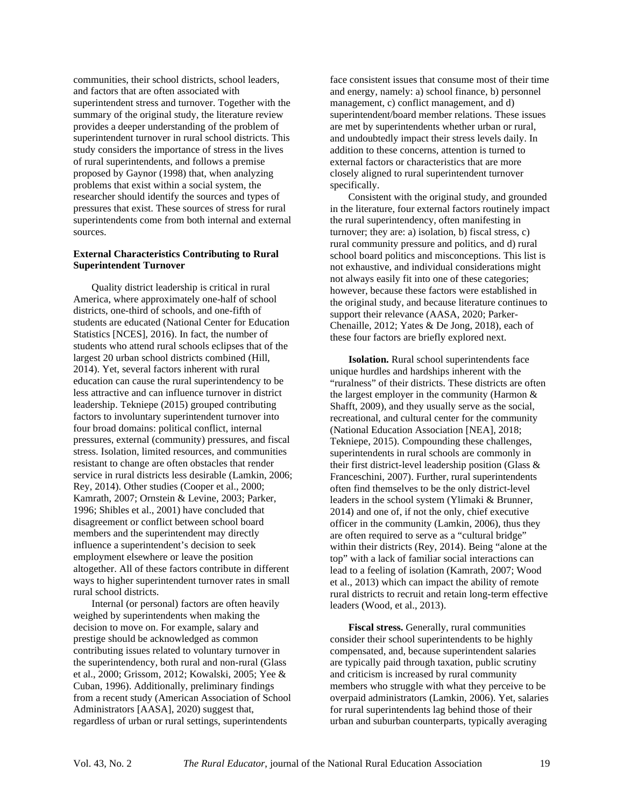communities, their school districts, school leaders, and factors that are often associated with superintendent stress and turnover. Together with the summary of the original study, the literature review provides a deeper understanding of the problem of superintendent turnover in rural school districts. This study considers the importance of stress in the lives of rural superintendents, and follows a premise proposed by Gaynor (1998) that, when analyzing problems that exist within a social system, the researcher should identify the sources and types of pressures that exist. These sources of stress for rural superintendents come from both internal and external sources.

#### **External Characteristics Contributing to Rural Superintendent Turnover**

Quality district leadership is critical in rural America, where approximately one-half of school districts, one-third of schools, and one-fifth of students are educated (National Center for Education Statistics [NCES], 2016). In fact, the number of students who attend rural schools eclipses that of the largest 20 urban school districts combined (Hill, 2014). Yet, several factors inherent with rural education can cause the rural superintendency to be less attractive and can influence turnover in district leadership. Tekniepe (2015) grouped contributing factors to involuntary superintendent turnover into four broad domains: political conflict, internal pressures, external (community) pressures, and fiscal stress. Isolation, limited resources, and communities resistant to change are often obstacles that render service in rural districts less desirable (Lamkin, 2006; Rey, 2014). Other studies (Cooper et al., 2000; Kamrath, 2007; Ornstein & Levine, 2003; Parker, 1996; Shibles et al., 2001) have concluded that disagreement or conflict between school board members and the superintendent may directly influence a superintendent's decision to seek employment elsewhere or leave the position altogether. All of these factors contribute in different ways to higher superintendent turnover rates in small rural school districts.

Internal (or personal) factors are often heavily weighed by superintendents when making the decision to move on. For example, salary and prestige should be acknowledged as common contributing issues related to voluntary turnover in the superintendency, both rural and non-rural (Glass et al., 2000; Grissom, 2012; Kowalski, 2005; Yee & Cuban, 1996). Additionally, preliminary findings from a recent study (American Association of School Administrators [AASA], 2020) suggest that, regardless of urban or rural settings, superintendents

face consistent issues that consume most of their time and energy, namely: a) school finance, b) personnel management, c) conflict management, and d) superintendent/board member relations. These issues are met by superintendents whether urban or rural, and undoubtedly impact their stress levels daily. In addition to these concerns, attention is turned to external factors or characteristics that are more closely aligned to rural superintendent turnover specifically.

Consistent with the original study, and grounded in the literature, four external factors routinely impact the rural superintendency, often manifesting in turnover; they are: a) isolation, b) fiscal stress, c) rural community pressure and politics, and d) rural school board politics and misconceptions. This list is not exhaustive, and individual considerations might not always easily fit into one of these categories; however, because these factors were established in the original study, and because literature continues to support their relevance (AASA, 2020; Parker-Chenaille, 2012; Yates & De Jong, 2018), each of these four factors are briefly explored next.

**Isolation.** Rural school superintendents face unique hurdles and hardships inherent with the "ruralness" of their districts. These districts are often the largest employer in the community (Harmon & Shafft, 2009), and they usually serve as the social, recreational, and cultural center for the community (National Education Association [NEA], 2018; Tekniepe, 2015). Compounding these challenges, superintendents in rural schools are commonly in their first district-level leadership position (Glass & Franceschini, 2007). Further, rural superintendents often find themselves to be the only district-level leaders in the school system (Ylimaki & Brunner, 2014) and one of, if not the only, chief executive officer in the community (Lamkin, 2006), thus they are often required to serve as a "cultural bridge" within their districts (Rey, 2014). Being "alone at the top" with a lack of familiar social interactions can lead to a feeling of isolation (Kamrath, 2007; Wood et al., 2013) which can impact the ability of remote rural districts to recruit and retain long-term effective leaders (Wood, et al., 2013).

**Fiscal stress.** Generally, rural communities consider their school superintendents to be highly compensated, and, because superintendent salaries are typically paid through taxation, public scrutiny and criticism is increased by rural community members who struggle with what they perceive to be overpaid administrators (Lamkin, 2006). Yet, salaries for rural superintendents lag behind those of their urban and suburban counterparts, typically averaging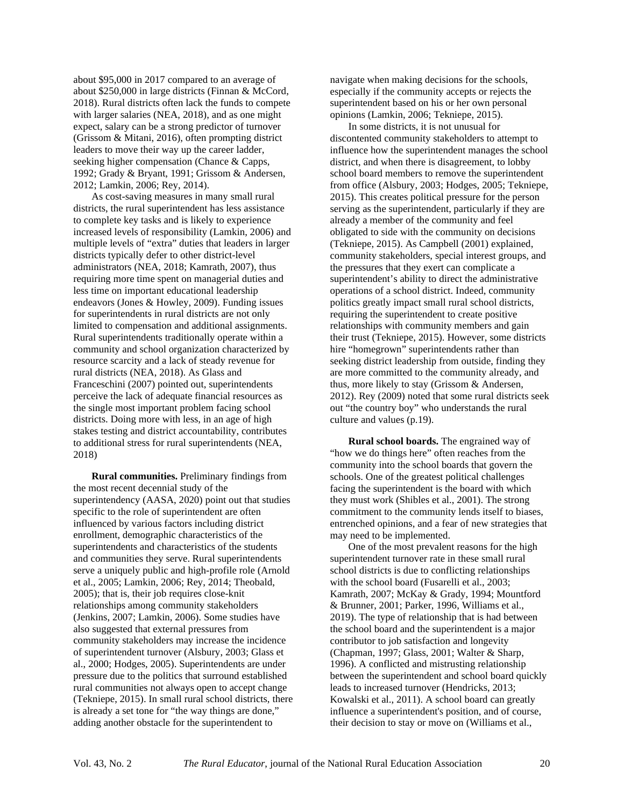about \$95,000 in 2017 compared to an average of about \$250,000 in large districts (Finnan & McCord, 2018). Rural districts often lack the funds to compete with larger salaries (NEA, 2018), and as one might expect, salary can be a strong predictor of turnover (Grissom & Mitani, 2016), often prompting district leaders to move their way up the career ladder, seeking higher compensation (Chance & Capps, 1992; Grady & Bryant, 1991; Grissom & Andersen, 2012; Lamkin, 2006; Rey, 2014).

As cost-saving measures in many small rural districts, the rural superintendent has less assistance to complete key tasks and is likely to experience increased levels of responsibility (Lamkin, 2006) and multiple levels of "extra" duties that leaders in larger districts typically defer to other district-level administrators (NEA, 2018; Kamrath, 2007), thus requiring more time spent on managerial duties and less time on important educational leadership endeavors (Jones & Howley, 2009). Funding issues for superintendents in rural districts are not only limited to compensation and additional assignments. Rural superintendents traditionally operate within a community and school organization characterized by resource scarcity and a lack of steady revenue for rural districts (NEA, 2018). As Glass and Franceschini (2007) pointed out, superintendents perceive the lack of adequate financial resources as the single most important problem facing school districts. Doing more with less, in an age of high stakes testing and district accountability, contributes to additional stress for rural superintendents (NEA, 2018)

**Rural communities.** Preliminary findings from the most recent decennial study of the superintendency (AASA, 2020) point out that studies specific to the role of superintendent are often influenced by various factors including district enrollment, demographic characteristics of the superintendents and characteristics of the students and communities they serve. Rural superintendents serve a uniquely public and high-profile role (Arnold et al., 2005; Lamkin, 2006; Rey, 2014; Theobald, 2005); that is, their job requires close-knit relationships among community stakeholders (Jenkins, 2007; Lamkin, 2006). Some studies have also suggested that external pressures from community stakeholders may increase the incidence of superintendent turnover (Alsbury, 2003; Glass et al., 2000; Hodges, 2005). Superintendents are under pressure due to the politics that surround established rural communities not always open to accept change (Tekniepe, 2015). In small rural school districts, there is already a set tone for "the way things are done," adding another obstacle for the superintendent to

navigate when making decisions for the schools, especially if the community accepts or rejects the superintendent based on his or her own personal opinions (Lamkin, 2006; Tekniepe, 2015).

In some districts, it is not unusual for discontented community stakeholders to attempt to influence how the superintendent manages the school district, and when there is disagreement, to lobby school board members to remove the superintendent from office (Alsbury, 2003; Hodges, 2005; Tekniepe, 2015). This creates political pressure for the person serving as the superintendent, particularly if they are already a member of the community and feel obligated to side with the community on decisions (Tekniepe, 2015). As Campbell (2001) explained, community stakeholders, special interest groups, and the pressures that they exert can complicate a superintendent's ability to direct the administrative operations of a school district. Indeed, community politics greatly impact small rural school districts, requiring the superintendent to create positive relationships with community members and gain their trust (Tekniepe, 2015). However, some districts hire "homegrown" superintendents rather than seeking district leadership from outside, finding they are more committed to the community already, and thus, more likely to stay (Grissom & Andersen, 2012). Rey (2009) noted that some rural districts seek out "the country boy" who understands the rural culture and values (p.19).

**Rural school boards.** The engrained way of "how we do things here" often reaches from the community into the school boards that govern the schools. One of the greatest political challenges facing the superintendent is the board with which they must work (Shibles et al., 2001). The strong commitment to the community lends itself to biases, entrenched opinions, and a fear of new strategies that may need to be implemented.

One of the most prevalent reasons for the high superintendent turnover rate in these small rural school districts is due to conflicting relationships with the school board (Fusarelli et al., 2003; Kamrath, 2007; McKay & Grady, 1994; Mountford & Brunner, 2001; Parker, 1996, Williams et al., 2019). The type of relationship that is had between the school board and the superintendent is a major contributor to job satisfaction and longevity (Chapman, 1997; Glass, 2001; Walter & Sharp, 1996). A conflicted and mistrusting relationship between the superintendent and school board quickly leads to increased turnover (Hendricks, 2013; Kowalski et al., 2011). A school board can greatly influence a superintendent's position, and of course, their decision to stay or move on (Williams et al.,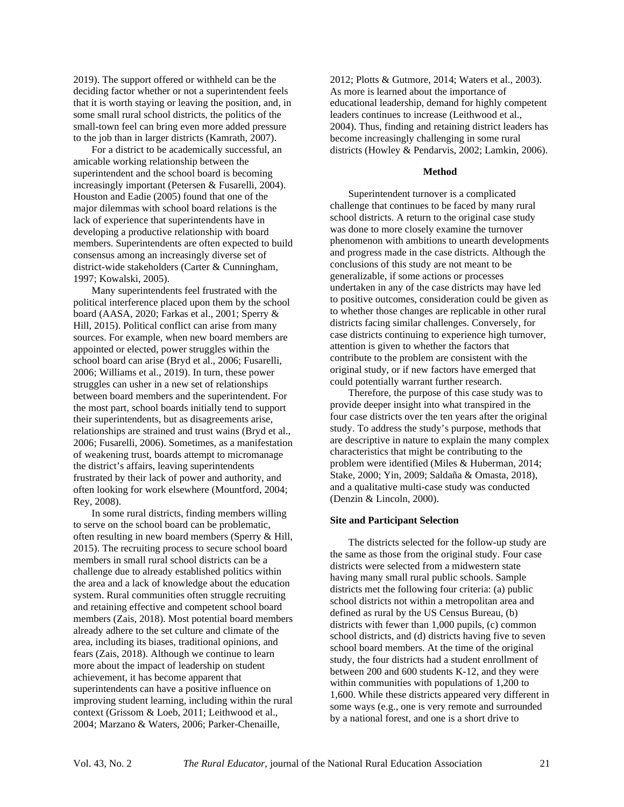2019). The support offered or withheld can be the deciding factor whether or not a superintendent feels that it is worth staying or leaving the position, and, in some small rural school districts, the politics of the small-town feel can bring even more added pressure to the job than in larger districts (Kamrath, 2007).

For a district to be academically successful, an amicable working relationship between the superintendent and the school board is becoming increasingly important (Petersen & Fusarelli, 2004). Houston and Eadie (2005) found that one of the major dilemmas with school board relations is the lack of experience that superintendents have in developing a productive relationship with board members. Superintendents are often expected to build consensus among an increasingly diverse set of district-wide stakeholders (Carter & Cunningham, 1997; Kowalski, 2005).

Many superintendents feel frustrated with the political interference placed upon them by the school board (AASA, 2020; Farkas et al., 2001; Sperry & Hill, 2015). Political conflict can arise from many sources. For example, when new board members are appointed or elected, power struggles within the school board can arise (Bryd et al., 2006; Fusarelli, 2006; Williams et al., 2019). In turn, these power struggles can usher in a new set of relationships between board members and the superintendent. For the most part, school boards initially tend to support their superintendents, but as disagreements arise, relationships are strained and trust wains (Bryd et al., 2006; Fusarelli, 2006). Sometimes, as a manifestation of weakening trust, boards attempt to micromanage the district's affairs, leaving superintendents frustrated by their lack of power and authority, and often looking for work elsewhere (Mountford, 2004; Rey, 2008).

In some rural districts, finding members willing to serve on the school board can be problematic, often resulting in new board members (Sperry & Hill, 2015). The recruiting process to secure school board members in small rural school districts can be a challenge due to already established politics within the area and a lack of knowledge about the education system. Rural communities often struggle recruiting and retaining effective and competent school board members (Zais, 2018). Most potential board members already adhere to the set culture and climate of the area, including its biases, traditional opinions, and fears (Zais, 2018). Although we continue to learn more about the impact of leadership on student achievement, it has become apparent that superintendents can have a positive influence on improving student learning, including within the rural context (Grissom & Loeb, 2011; Leithwood et al., 2004; Marzano & Waters, 2006; Parker-Chenaille,

2012; Plotts & Gutmore, 2014; Waters et al., 2003). As more is learned about the importance of educational leadership, demand for highly competent leaders continues to increase (Leithwood et al., 2004). Thus, finding and retaining district leaders has become increasingly challenging in some rural districts (Howley & Pendarvis, 2002; Lamkin, 2006).

#### **Method**

Superintendent turnover is a complicated challenge that continues to be faced by many rural school districts. A return to the original case study was done to more closely examine the turnover phenomenon with ambitions to unearth developments and progress made in the case districts. Although the conclusions of this study are not meant to be generalizable, if some actions or processes undertaken in any of the case districts may have led to positive outcomes, consideration could be given as to whether those changes are replicable in other rural districts facing similar challenges. Conversely, for case districts continuing to experience high turnover, attention is given to whether the factors that contribute to the problem are consistent with the original study, or if new factors have emerged that could potentially warrant further research.

Therefore, the purpose of this case study was to provide deeper insight into what transpired in the four case districts over the ten years after the original study. To address the study's purpose, methods that are descriptive in nature to explain the many complex characteristics that might be contributing to the problem were identified (Miles & Huberman, 2014; Stake, 2000; Yin, 2009; Saldaña & Omasta, 2018), and a qualitative multi-case study was conducted (Denzin & Lincoln, 2000).

#### **Site and Participant Selection**

The districts selected for the follow-up study are the same as those from the original study. Four case districts were selected from a midwestern state having many small rural public schools. Sample districts met the following four criteria: (a) public school districts not within a metropolitan area and defined as rural by the US Census Bureau, (b) districts with fewer than 1,000 pupils, (c) common school districts, and (d) districts having five to seven school board members. At the time of the original study, the four districts had a student enrollment of between 200 and 600 students K-12, and they were within communities with populations of 1,200 to 1,600. While these districts appeared very different in some ways (e.g., one is very remote and surrounded by a national forest, and one is a short drive to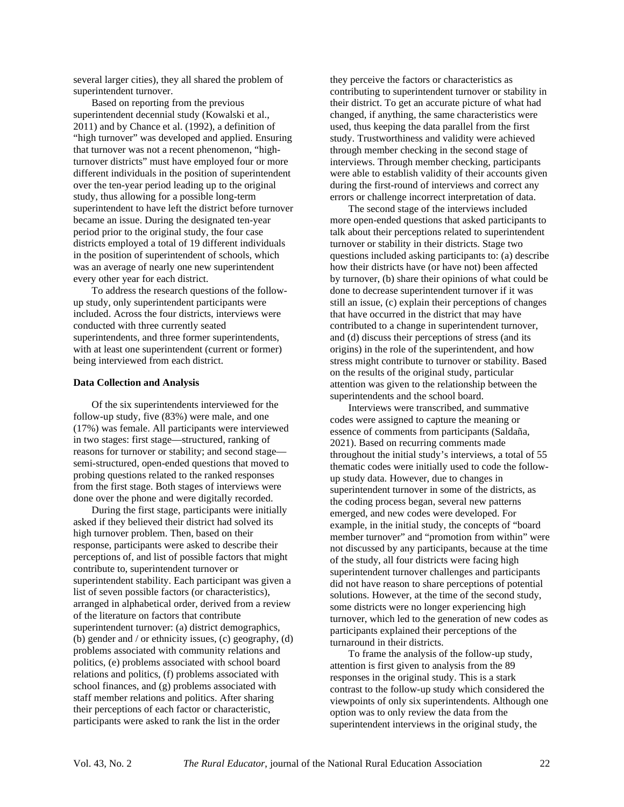several larger cities), they all shared the problem of superintendent turnover.

Based on reporting from the previous superintendent decennial study (Kowalski et al., 2011) and by Chance et al. (1992), a definition of "high turnover" was developed and applied. Ensuring that turnover was not a recent phenomenon, "highturnover districts" must have employed four or more different individuals in the position of superintendent over the ten-year period leading up to the original study, thus allowing for a possible long-term superintendent to have left the district before turnover became an issue. During the designated ten-year period prior to the original study, the four case districts employed a total of 19 different individuals in the position of superintendent of schools, which was an average of nearly one new superintendent every other year for each district.

To address the research questions of the followup study, only superintendent participants were included. Across the four districts, interviews were conducted with three currently seated superintendents, and three former superintendents, with at least one superintendent (current or former) being interviewed from each district.

#### **Data Collection and Analysis**

Of the six superintendents interviewed for the follow-up study, five (83%) were male, and one (17%) was female. All participants were interviewed in two stages: first stage—structured, ranking of reasons for turnover or stability; and second stage semi-structured, open-ended questions that moved to probing questions related to the ranked responses from the first stage. Both stages of interviews were done over the phone and were digitally recorded.

During the first stage, participants were initially asked if they believed their district had solved its high turnover problem. Then, based on their response, participants were asked to describe their perceptions of, and list of possible factors that might contribute to, superintendent turnover or superintendent stability. Each participant was given a list of seven possible factors (or characteristics), arranged in alphabetical order, derived from a review of the literature on factors that contribute superintendent turnover: (a) district demographics, (b) gender and / or ethnicity issues, (c) geography, (d) problems associated with community relations and politics, (e) problems associated with school board relations and politics, (f) problems associated with school finances, and (g) problems associated with staff member relations and politics. After sharing their perceptions of each factor or characteristic, participants were asked to rank the list in the order

they perceive the factors or characteristics as contributing to superintendent turnover or stability in their district. To get an accurate picture of what had changed, if anything, the same characteristics were used, thus keeping the data parallel from the first study. Trustworthiness and validity were achieved through member checking in the second stage of interviews. Through member checking, participants were able to establish validity of their accounts given during the first-round of interviews and correct any errors or challenge incorrect interpretation of data.

The second stage of the interviews included more open-ended questions that asked participants to talk about their perceptions related to superintendent turnover or stability in their districts. Stage two questions included asking participants to: (a) describe how their districts have (or have not) been affected by turnover, (b) share their opinions of what could be done to decrease superintendent turnover if it was still an issue, (c) explain their perceptions of changes that have occurred in the district that may have contributed to a change in superintendent turnover, and (d) discuss their perceptions of stress (and its origins) in the role of the superintendent, and how stress might contribute to turnover or stability. Based on the results of the original study, particular attention was given to the relationship between the superintendents and the school board.

Interviews were transcribed, and summative codes were assigned to capture the meaning or essence of comments from participants (Saldaña, 2021). Based on recurring comments made throughout the initial study's interviews, a total of 55 thematic codes were initially used to code the followup study data. However, due to changes in superintendent turnover in some of the districts, as the coding process began, several new patterns emerged, and new codes were developed. For example, in the initial study, the concepts of "board member turnover" and "promotion from within" were not discussed by any participants, because at the time of the study, all four districts were facing high superintendent turnover challenges and participants did not have reason to share perceptions of potential solutions. However, at the time of the second study, some districts were no longer experiencing high turnover, which led to the generation of new codes as participants explained their perceptions of the turnaround in their districts.

To frame the analysis of the follow-up study, attention is first given to analysis from the 89 responses in the original study. This is a stark contrast to the follow-up study which considered the viewpoints of only six superintendents. Although one option was to only review the data from the superintendent interviews in the original study, the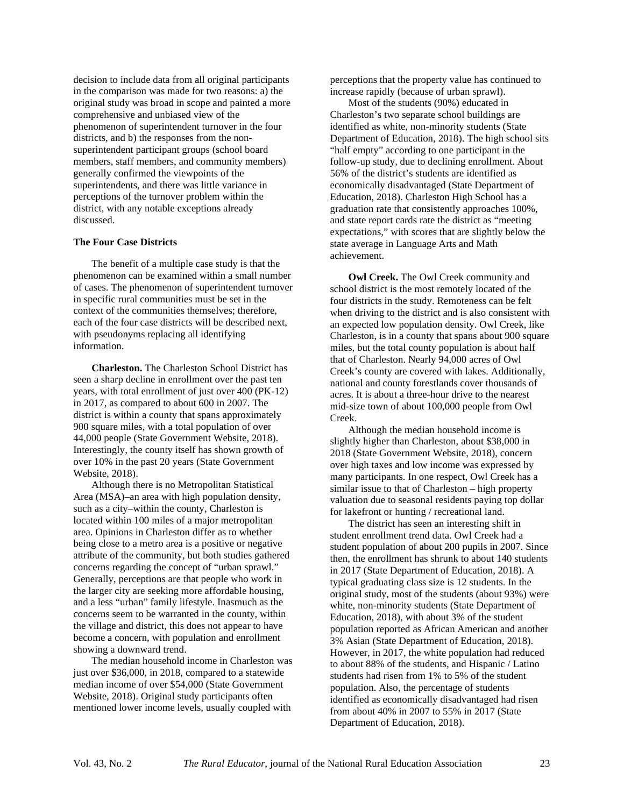decision to include data from all original participants in the comparison was made for two reasons: a) the original study was broad in scope and painted a more comprehensive and unbiased view of the phenomenon of superintendent turnover in the four districts, and b) the responses from the nonsuperintendent participant groups (school board members, staff members, and community members) generally confirmed the viewpoints of the superintendents, and there was little variance in perceptions of the turnover problem within the district, with any notable exceptions already discussed.

#### **The Four Case Districts**

The benefit of a multiple case study is that the phenomenon can be examined within a small number of cases. The phenomenon of superintendent turnover in specific rural communities must be set in the context of the communities themselves; therefore, each of the four case districts will be described next, with pseudonyms replacing all identifying information.

**Charleston.** The Charleston School District has seen a sharp decline in enrollment over the past ten years, with total enrollment of just over 400 (PK-12) in 2017, as compared to about 600 in 2007. The district is within a county that spans approximately 900 square miles, with a total population of over 44,000 people (State Government Website, 2018). Interestingly, the county itself has shown growth of over 10% in the past 20 years (State Government Website, 2018).

Although there is no Metropolitan Statistical Area (MSA)–an area with high population density, such as a city–within the county, Charleston is located within 100 miles of a major metropolitan area. Opinions in Charleston differ as to whether being close to a metro area is a positive or negative attribute of the community, but both studies gathered concerns regarding the concept of "urban sprawl." Generally, perceptions are that people who work in the larger city are seeking more affordable housing, and a less "urban" family lifestyle. Inasmuch as the concerns seem to be warranted in the county, within the village and district, this does not appear to have become a concern, with population and enrollment showing a downward trend.

The median household income in Charleston was just over \$36,000, in 2018, compared to a statewide median income of over \$54,000 (State Government Website, 2018). Original study participants often mentioned lower income levels, usually coupled with

perceptions that the property value has continued to increase rapidly (because of urban sprawl).

Most of the students (90%) educated in Charleston's two separate school buildings are identified as white, non-minority students (State Department of Education, 2018). The high school sits "half empty" according to one participant in the follow-up study, due to declining enrollment. About 56% of the district's students are identified as economically disadvantaged (State Department of Education, 2018). Charleston High School has a graduation rate that consistently approaches 100%, and state report cards rate the district as "meeting expectations," with scores that are slightly below the state average in Language Arts and Math achievement.

**Owl Creek.** The Owl Creek community and school district is the most remotely located of the four districts in the study. Remoteness can be felt when driving to the district and is also consistent with an expected low population density. Owl Creek, like Charleston, is in a county that spans about 900 square miles, but the total county population is about half that of Charleston. Nearly 94,000 acres of Owl Creek's county are covered with lakes. Additionally, national and county forestlands cover thousands of acres. It is about a three-hour drive to the nearest mid-size town of about 100,000 people from Owl Creek.

Although the median household income is slightly higher than Charleston, about \$38,000 in 2018 (State Government Website, 2018), concern over high taxes and low income was expressed by many participants. In one respect, Owl Creek has a similar issue to that of Charleston – high property valuation due to seasonal residents paying top dollar for lakefront or hunting / recreational land.

The district has seen an interesting shift in student enrollment trend data. Owl Creek had a student population of about 200 pupils in 2007. Since then, the enrollment has shrunk to about 140 students in 2017 (State Department of Education, 2018). A typical graduating class size is 12 students. In the original study, most of the students (about 93%) were white, non-minority students (State Department of Education, 2018), with about 3% of the student population reported as African American and another 3% Asian (State Department of Education, 2018). However, in 2017, the white population had reduced to about 88% of the students, and Hispanic / Latino students had risen from 1% to 5% of the student population. Also, the percentage of students identified as economically disadvantaged had risen from about 40% in 2007 to 55% in 2017 (State Department of Education, 2018).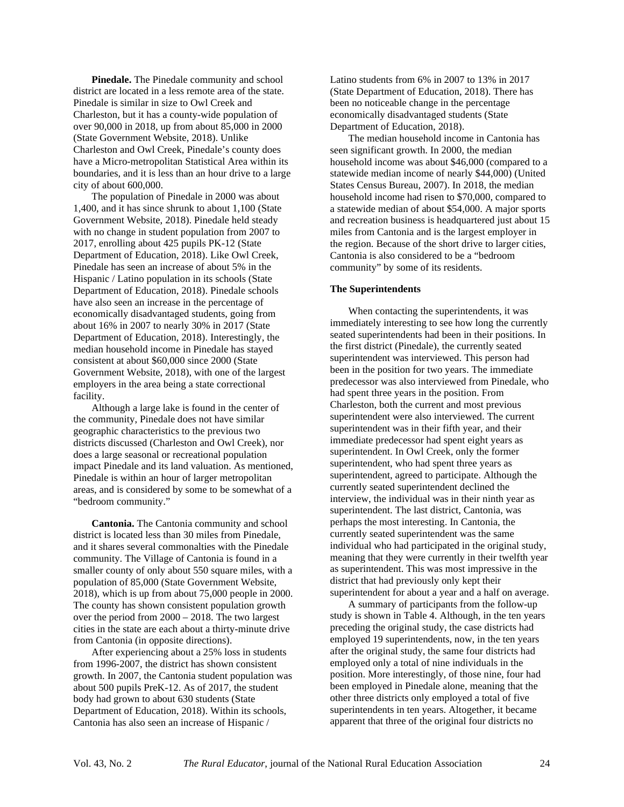**Pinedale.** The Pinedale community and school district are located in a less remote area of the state. Pinedale is similar in size to Owl Creek and Charleston, but it has a county-wide population of over 90,000 in 2018, up from about 85,000 in 2000 (State Government Website, 2018). Unlike Charleston and Owl Creek, Pinedale's county does have a Micro-metropolitan Statistical Area within its boundaries, and it is less than an hour drive to a large city of about 600,000.

The population of Pinedale in 2000 was about 1,400, and it has since shrunk to about 1,100 (State Government Website, 2018). Pinedale held steady with no change in student population from 2007 to 2017, enrolling about 425 pupils PK-12 (State Department of Education, 2018). Like Owl Creek, Pinedale has seen an increase of about 5% in the Hispanic / Latino population in its schools (State Department of Education, 2018). Pinedale schools have also seen an increase in the percentage of economically disadvantaged students, going from about 16% in 2007 to nearly 30% in 2017 (State Department of Education, 2018). Interestingly, the median household income in Pinedale has stayed consistent at about \$60,000 since 2000 (State Government Website, 2018), with one of the largest employers in the area being a state correctional facility.

Although a large lake is found in the center of the community, Pinedale does not have similar geographic characteristics to the previous two districts discussed (Charleston and Owl Creek), nor does a large seasonal or recreational population impact Pinedale and its land valuation. As mentioned, Pinedale is within an hour of larger metropolitan areas, and is considered by some to be somewhat of a "bedroom community."

**Cantonia.** The Cantonia community and school district is located less than 30 miles from Pinedale, and it shares several commonalties with the Pinedale community. The Village of Cantonia is found in a smaller county of only about 550 square miles, with a population of 85,000 (State Government Website, 2018), which is up from about 75,000 people in 2000. The county has shown consistent population growth over the period from 2000 – 2018. The two largest cities in the state are each about a thirty-minute drive from Cantonia (in opposite directions).

After experiencing about a 25% loss in students from 1996-2007, the district has shown consistent growth. In 2007, the Cantonia student population was about 500 pupils PreK-12. As of 2017, the student body had grown to about 630 students (State Department of Education, 2018). Within its schools, Cantonia has also seen an increase of Hispanic /

Latino students from 6% in 2007 to 13% in 2017 (State Department of Education, 2018). There has been no noticeable change in the percentage economically disadvantaged students (State Department of Education, 2018).

The median household income in Cantonia has seen significant growth. In 2000, the median household income was about \$46,000 (compared to a statewide median income of nearly \$44,000) (United States Census Bureau, 2007). In 2018, the median household income had risen to \$70,000, compared to a statewide median of about \$54,000. A major sports and recreation business is headquartered just about 15 miles from Cantonia and is the largest employer in the region. Because of the short drive to larger cities, Cantonia is also considered to be a "bedroom community" by some of its residents.

#### **The Superintendents**

When contacting the superintendents, it was immediately interesting to see how long the currently seated superintendents had been in their positions. In the first district (Pinedale), the currently seated superintendent was interviewed. This person had been in the position for two years. The immediate predecessor was also interviewed from Pinedale, who had spent three years in the position. From Charleston, both the current and most previous superintendent were also interviewed. The current superintendent was in their fifth year, and their immediate predecessor had spent eight years as superintendent. In Owl Creek, only the former superintendent, who had spent three years as superintendent, agreed to participate. Although the currently seated superintendent declined the interview, the individual was in their ninth year as superintendent. The last district, Cantonia, was perhaps the most interesting. In Cantonia, the currently seated superintendent was the same individual who had participated in the original study, meaning that they were currently in their twelfth year as superintendent. This was most impressive in the district that had previously only kept their superintendent for about a year and a half on average.

A summary of participants from the follow-up study is shown in Table 4. Although, in the ten years preceding the original study, the case districts had employed 19 superintendents, now, in the ten years after the original study, the same four districts had employed only a total of nine individuals in the position. More interestingly, of those nine, four had been employed in Pinedale alone, meaning that the other three districts only employed a total of five superintendents in ten years. Altogether, it became apparent that three of the original four districts no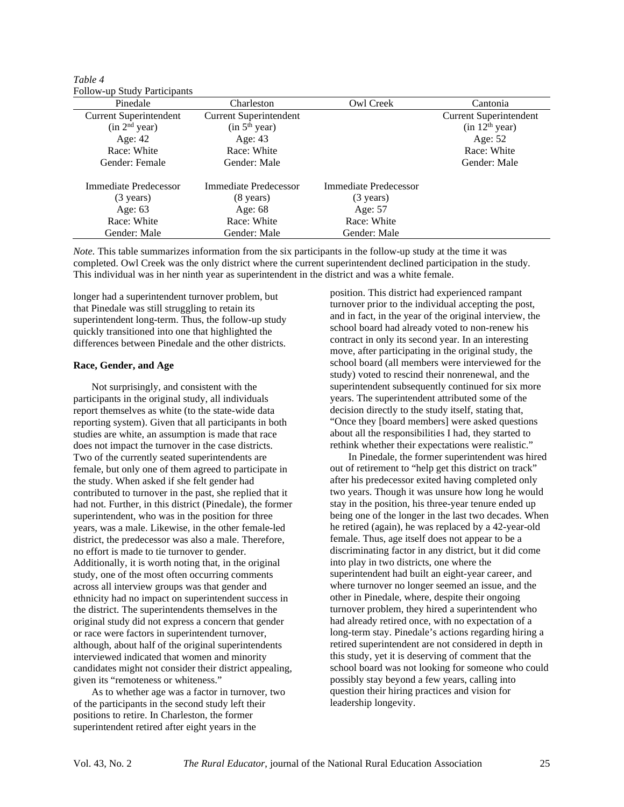*Table 4* Follow-up Study Participants

| Pinedale                      | Charleston                | Owl Creek             | Cantonia                      |
|-------------------------------|---------------------------|-----------------------|-------------------------------|
| <b>Current Superintendent</b> | Current Superintendent    |                       | <b>Current Superintendent</b> |
| (in 2 <sup>nd</sup> year)     | (in 5 <sup>th</sup> year) |                       | (in 12 <sup>th</sup> year)    |
| Age: $42$                     | Age: 43                   |                       | Age: 52                       |
| Race: White                   | Race: White               |                       | Race: White                   |
| Gender: Female                | Gender: Male              |                       | Gender: Male                  |
| Immediate Predecessor         | Immediate Predecessor     | Immediate Predecessor |                               |
| $(3 \text{ years})$           | $(8 \text{ years})$       | $(3 \text{ years})$   |                               |
| Age: $63$                     | Age: $68$                 | Age: 57               |                               |
| Race: White                   | Race: White               | Race: White           |                               |
| Gender: Male                  | Gender: Male              | Gender: Male          |                               |
|                               |                           |                       |                               |

*Note.* This table summarizes information from the six participants in the follow-up study at the time it was completed. Owl Creek was the only district where the current superintendent declined participation in the study. This individual was in her ninth year as superintendent in the district and was a white female.

longer had a superintendent turnover problem, but that Pinedale was still struggling to retain its superintendent long-term. Thus, the follow-up study quickly transitioned into one that highlighted the differences between Pinedale and the other districts.

#### **Race, Gender, and Age**

Not surprisingly, and consistent with the participants in the original study, all individuals report themselves as white (to the state-wide data reporting system). Given that all participants in both studies are white, an assumption is made that race does not impact the turnover in the case districts. Two of the currently seated superintendents are female, but only one of them agreed to participate in the study. When asked if she felt gender had contributed to turnover in the past, she replied that it had not. Further, in this district (Pinedale), the former superintendent, who was in the position for three years, was a male. Likewise, in the other female-led district, the predecessor was also a male. Therefore, no effort is made to tie turnover to gender. Additionally, it is worth noting that, in the original study, one of the most often occurring comments across all interview groups was that gender and ethnicity had no impact on superintendent success in the district. The superintendents themselves in the original study did not express a concern that gender or race were factors in superintendent turnover, although, about half of the original superintendents interviewed indicated that women and minority candidates might not consider their district appealing, given its "remoteness or whiteness."

As to whether age was a factor in turnover, two of the participants in the second study left their positions to retire. In Charleston, the former superintendent retired after eight years in the

position. This district had experienced rampant turnover prior to the individual accepting the post, and in fact, in the year of the original interview, the school board had already voted to non-renew his contract in only its second year. In an interesting move, after participating in the original study, the school board (all members were interviewed for the study) voted to rescind their nonrenewal, and the superintendent subsequently continued for six more years. The superintendent attributed some of the decision directly to the study itself, stating that, "Once they [board members] were asked questions about all the responsibilities I had, they started to rethink whether their expectations were realistic."

In Pinedale, the former superintendent was hired out of retirement to "help get this district on track" after his predecessor exited having completed only two years. Though it was unsure how long he would stay in the position, his three-year tenure ended up being one of the longer in the last two decades. When he retired (again), he was replaced by a 42-year-old female. Thus, age itself does not appear to be a discriminating factor in any district, but it did come into play in two districts, one where the superintendent had built an eight-year career, and where turnover no longer seemed an issue, and the other in Pinedale, where, despite their ongoing turnover problem, they hired a superintendent who had already retired once, with no expectation of a long-term stay. Pinedale's actions regarding hiring a retired superintendent are not considered in depth in this study, yet it is deserving of comment that the school board was not looking for someone who could possibly stay beyond a few years, calling into question their hiring practices and vision for leadership longevity.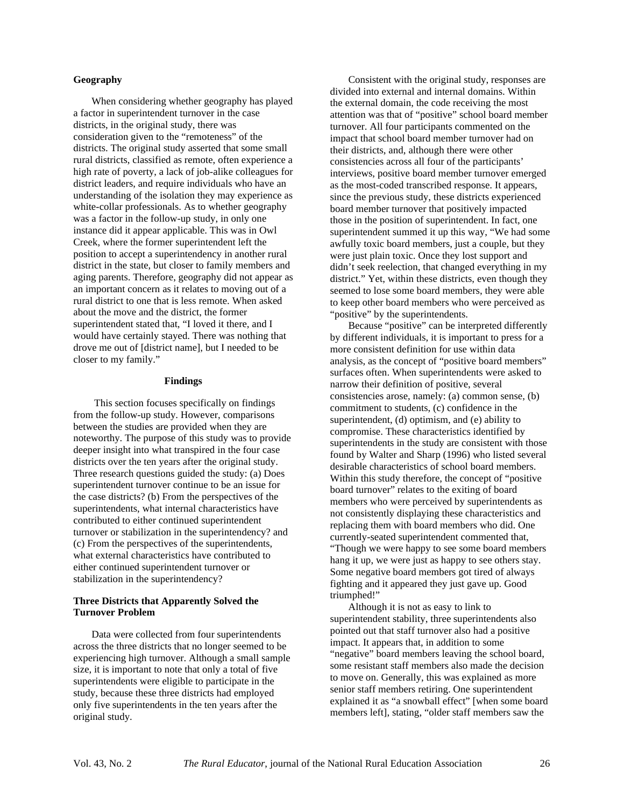#### **Geography**

When considering whether geography has played a factor in superintendent turnover in the case districts, in the original study, there was consideration given to the "remoteness" of the districts. The original study asserted that some small rural districts, classified as remote, often experience a high rate of poverty, a lack of job-alike colleagues for district leaders, and require individuals who have an understanding of the isolation they may experience as white-collar professionals. As to whether geography was a factor in the follow-up study, in only one instance did it appear applicable. This was in Owl Creek, where the former superintendent left the position to accept a superintendency in another rural district in the state, but closer to family members and aging parents. Therefore, geography did not appear as an important concern as it relates to moving out of a rural district to one that is less remote. When asked about the move and the district, the former superintendent stated that, "I loved it there, and I would have certainly stayed. There was nothing that drove me out of [district name], but I needed to be closer to my family."

#### **Findings**

This section focuses specifically on findings from the follow-up study. However, comparisons between the studies are provided when they are noteworthy. The purpose of this study was to provide deeper insight into what transpired in the four case districts over the ten years after the original study. Three research questions guided the study: (a) Does superintendent turnover continue to be an issue for the case districts? (b) From the perspectives of the superintendents, what internal characteristics have contributed to either continued superintendent turnover or stabilization in the superintendency? and (c) From the perspectives of the superintendents, what external characteristics have contributed to either continued superintendent turnover or stabilization in the superintendency?

### **Three Districts that Apparently Solved the Turnover Problem**

Data were collected from four superintendents across the three districts that no longer seemed to be experiencing high turnover. Although a small sample size, it is important to note that only a total of five superintendents were eligible to participate in the study, because these three districts had employed only five superintendents in the ten years after the original study.

Consistent with the original study, responses are divided into external and internal domains. Within the external domain, the code receiving the most attention was that of "positive" school board member turnover. All four participants commented on the impact that school board member turnover had on their districts, and, although there were other consistencies across all four of the participants' interviews, positive board member turnover emerged as the most-coded transcribed response. It appears, since the previous study, these districts experienced board member turnover that positively impacted those in the position of superintendent. In fact, one superintendent summed it up this way, "We had some awfully toxic board members, just a couple, but they were just plain toxic. Once they lost support and didn't seek reelection, that changed everything in my district." Yet, within these districts, even though they seemed to lose some board members, they were able to keep other board members who were perceived as "positive" by the superintendents.

Because "positive" can be interpreted differently by different individuals, it is important to press for a more consistent definition for use within data analysis, as the concept of "positive board members" surfaces often. When superintendents were asked to narrow their definition of positive, several consistencies arose, namely: (a) common sense, (b) commitment to students, (c) confidence in the superintendent, (d) optimism, and (e) ability to compromise. These characteristics identified by superintendents in the study are consistent with those found by Walter and Sharp (1996) who listed several desirable characteristics of school board members. Within this study therefore, the concept of "positive board turnover" relates to the exiting of board members who were perceived by superintendents as not consistently displaying these characteristics and replacing them with board members who did. One currently-seated superintendent commented that, "Though we were happy to see some board members hang it up, we were just as happy to see others stay. Some negative board members got tired of always fighting and it appeared they just gave up. Good triumphed!"

Although it is not as easy to link to superintendent stability, three superintendents also pointed out that staff turnover also had a positive impact. It appears that, in addition to some "negative" board members leaving the school board, some resistant staff members also made the decision to move on. Generally, this was explained as more senior staff members retiring. One superintendent explained it as "a snowball effect" [when some board members left], stating, "older staff members saw the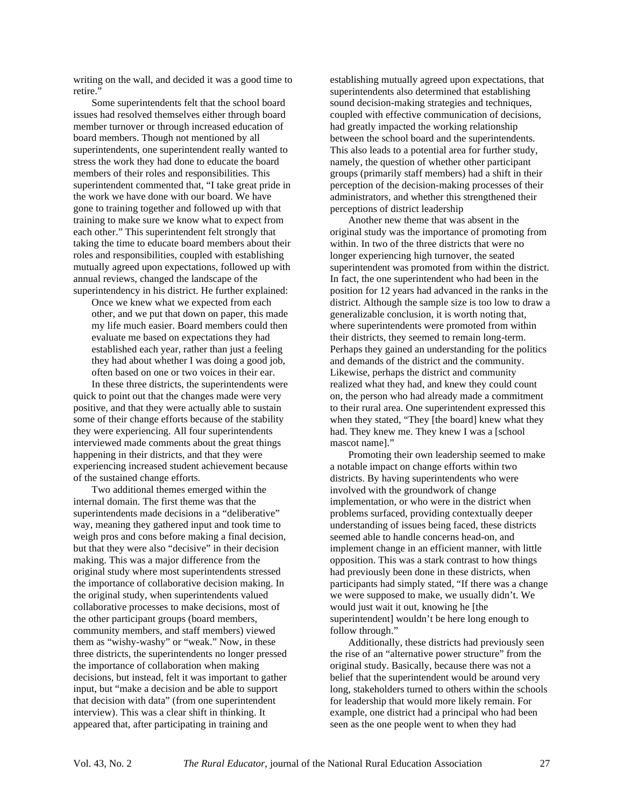writing on the wall, and decided it was a good time to retire."

Some superintendents felt that the school board issues had resolved themselves either through board member turnover or through increased education of board members. Though not mentioned by all superintendents, one superintendent really wanted to stress the work they had done to educate the board members of their roles and responsibilities. This superintendent commented that, "I take great pride in the work we have done with our board. We have gone to training together and followed up with that training to make sure we know what to expect from each other." This superintendent felt strongly that taking the time to educate board members about their roles and responsibilities, coupled with establishing mutually agreed upon expectations, followed up with annual reviews, changed the landscape of the superintendency in his district. He further explained:

Once we knew what we expected from each other, and we put that down on paper, this made my life much easier. Board members could then evaluate me based on expectations they had established each year, rather than just a feeling they had about whether I was doing a good job, often based on one or two voices in their ear.

In these three districts, the superintendents were quick to point out that the changes made were very positive, and that they were actually able to sustain some of their change efforts because of the stability they were experiencing. All four superintendents interviewed made comments about the great things happening in their districts, and that they were experiencing increased student achievement because of the sustained change efforts.

Two additional themes emerged within the internal domain. The first theme was that the superintendents made decisions in a "deliberative" way, meaning they gathered input and took time to weigh pros and cons before making a final decision, but that they were also "decisive" in their decision making. This was a major difference from the original study where most superintendents stressed the importance of collaborative decision making. In the original study, when superintendents valued collaborative processes to make decisions, most of the other participant groups (board members, community members, and staff members) viewed them as "wishy-washy" or "weak." Now, in these three districts, the superintendents no longer pressed the importance of collaboration when making decisions, but instead, felt it was important to gather input, but "make a decision and be able to support that decision with data" (from one superintendent interview). This was a clear shift in thinking. It appeared that, after participating in training and

establishing mutually agreed upon expectations, that superintendents also determined that establishing sound decision-making strategies and techniques, coupled with effective communication of decisions, had greatly impacted the working relationship between the school board and the superintendents. This also leads to a potential area for further study, namely, the question of whether other participant groups (primarily staff members) had a shift in their perception of the decision-making processes of their administrators, and whether this strengthened their perceptions of district leadership

Another new theme that was absent in the original study was the importance of promoting from within. In two of the three districts that were no longer experiencing high turnover, the seated superintendent was promoted from within the district. In fact, the one superintendent who had been in the position for 12 years had advanced in the ranks in the district. Although the sample size is too low to draw a generalizable conclusion, it is worth noting that, where superintendents were promoted from within their districts, they seemed to remain long-term. Perhaps they gained an understanding for the politics and demands of the district and the community. Likewise, perhaps the district and community realized what they had, and knew they could count on, the person who had already made a commitment to their rural area. One superintendent expressed this when they stated, "They [the board] knew what they had. They knew me. They knew I was a [school mascot name]."

Promoting their own leadership seemed to make a notable impact on change efforts within two districts. By having superintendents who were involved with the groundwork of change implementation, or who were in the district when problems surfaced, providing contextually deeper understanding of issues being faced, these districts seemed able to handle concerns head-on, and implement change in an efficient manner, with little opposition. This was a stark contrast to how things had previously been done in these districts, when participants had simply stated, "If there was a change we were supposed to make, we usually didn't. We would just wait it out, knowing he [the superintendent] wouldn't be here long enough to follow through."

Additionally, these districts had previously seen the rise of an "alternative power structure" from the original study. Basically, because there was not a belief that the superintendent would be around very long, stakeholders turned to others within the schools for leadership that would more likely remain. For example, one district had a principal who had been seen as the one people went to when they had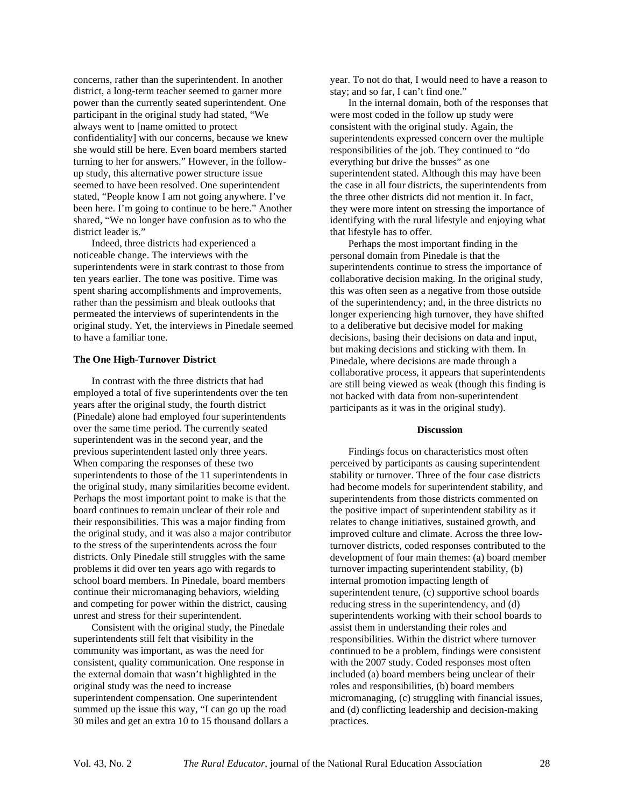concerns, rather than the superintendent. In another district, a long-term teacher seemed to garner more power than the currently seated superintendent. One participant in the original study had stated, "We always went to [name omitted to protect confidentiality] with our concerns, because we knew she would still be here. Even board members started turning to her for answers." However, in the followup study, this alternative power structure issue seemed to have been resolved. One superintendent stated, "People know I am not going anywhere. I've been here. I'm going to continue to be here." Another shared, "We no longer have confusion as to who the district leader is."

Indeed, three districts had experienced a noticeable change. The interviews with the superintendents were in stark contrast to those from ten years earlier. The tone was positive. Time was spent sharing accomplishments and improvements, rather than the pessimism and bleak outlooks that permeated the interviews of superintendents in the original study. Yet, the interviews in Pinedale seemed to have a familiar tone.

#### **The One High-Turnover District**

In contrast with the three districts that had employed a total of five superintendents over the ten years after the original study, the fourth district (Pinedale) alone had employed four superintendents over the same time period. The currently seated superintendent was in the second year, and the previous superintendent lasted only three years. When comparing the responses of these two superintendents to those of the 11 superintendents in the original study, many similarities become evident. Perhaps the most important point to make is that the board continues to remain unclear of their role and their responsibilities. This was a major finding from the original study, and it was also a major contributor to the stress of the superintendents across the four districts. Only Pinedale still struggles with the same problems it did over ten years ago with regards to school board members. In Pinedale, board members continue their micromanaging behaviors, wielding and competing for power within the district, causing unrest and stress for their superintendent.

Consistent with the original study, the Pinedale superintendents still felt that visibility in the community was important, as was the need for consistent, quality communication. One response in the external domain that wasn't highlighted in the original study was the need to increase superintendent compensation. One superintendent summed up the issue this way, "I can go up the road 30 miles and get an extra 10 to 15 thousand dollars a year. To not do that, I would need to have a reason to stay; and so far, I can't find one."

In the internal domain, both of the responses that were most coded in the follow up study were consistent with the original study. Again, the superintendents expressed concern over the multiple responsibilities of the job. They continued to "do everything but drive the busses" as one superintendent stated. Although this may have been the case in all four districts, the superintendents from the three other districts did not mention it. In fact, they were more intent on stressing the importance of identifying with the rural lifestyle and enjoying what that lifestyle has to offer.

Perhaps the most important finding in the personal domain from Pinedale is that the superintendents continue to stress the importance of collaborative decision making. In the original study, this was often seen as a negative from those outside of the superintendency; and, in the three districts no longer experiencing high turnover, they have shifted to a deliberative but decisive model for making decisions, basing their decisions on data and input, but making decisions and sticking with them. In Pinedale, where decisions are made through a collaborative process, it appears that superintendents are still being viewed as weak (though this finding is not backed with data from non-superintendent participants as it was in the original study).

#### **Discussion**

Findings focus on characteristics most often perceived by participants as causing superintendent stability or turnover. Three of the four case districts had become models for superintendent stability, and superintendents from those districts commented on the positive impact of superintendent stability as it relates to change initiatives, sustained growth, and improved culture and climate. Across the three lowturnover districts, coded responses contributed to the development of four main themes: (a) board member turnover impacting superintendent stability, (b) internal promotion impacting length of superintendent tenure, (c) supportive school boards reducing stress in the superintendency, and (d) superintendents working with their school boards to assist them in understanding their roles and responsibilities. Within the district where turnover continued to be a problem, findings were consistent with the 2007 study. Coded responses most often included (a) board members being unclear of their roles and responsibilities, (b) board members micromanaging, (c) struggling with financial issues, and (d) conflicting leadership and decision-making practices.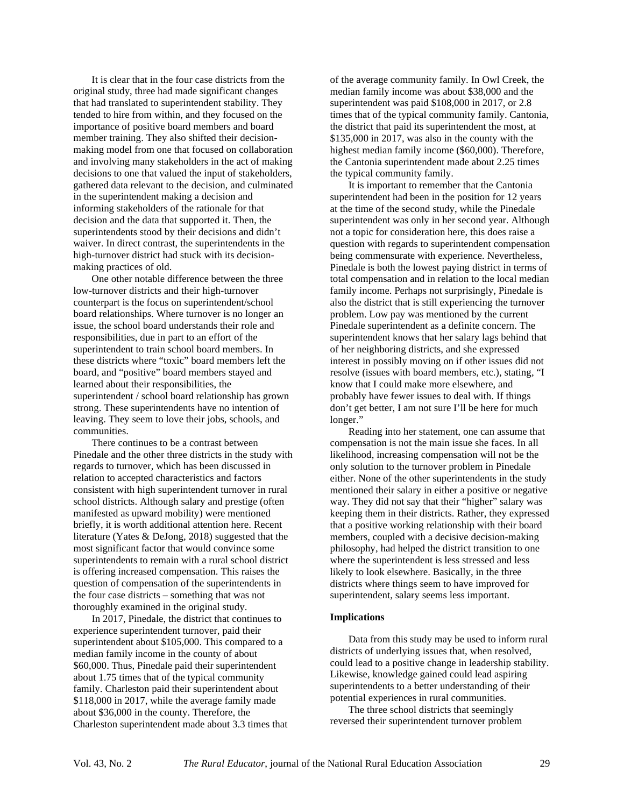It is clear that in the four case districts from the original study, three had made significant changes that had translated to superintendent stability. They tended to hire from within, and they focused on the importance of positive board members and board member training. They also shifted their decisionmaking model from one that focused on collaboration and involving many stakeholders in the act of making decisions to one that valued the input of stakeholders, gathered data relevant to the decision, and culminated in the superintendent making a decision and informing stakeholders of the rationale for that decision and the data that supported it. Then, the superintendents stood by their decisions and didn't waiver. In direct contrast, the superintendents in the high-turnover district had stuck with its decisionmaking practices of old.

One other notable difference between the three low-turnover districts and their high-turnover counterpart is the focus on superintendent/school board relationships. Where turnover is no longer an issue, the school board understands their role and responsibilities, due in part to an effort of the superintendent to train school board members. In these districts where "toxic" board members left the board, and "positive" board members stayed and learned about their responsibilities, the superintendent / school board relationship has grown strong. These superintendents have no intention of leaving. They seem to love their jobs, schools, and communities.

There continues to be a contrast between Pinedale and the other three districts in the study with regards to turnover, which has been discussed in relation to accepted characteristics and factors consistent with high superintendent turnover in rural school districts. Although salary and prestige (often manifested as upward mobility) were mentioned briefly, it is worth additional attention here. Recent literature (Yates & DeJong, 2018) suggested that the most significant factor that would convince some superintendents to remain with a rural school district is offering increased compensation. This raises the question of compensation of the superintendents in the four case districts – something that was not thoroughly examined in the original study.

In 2017, Pinedale, the district that continues to experience superintendent turnover, paid their superintendent about \$105,000. This compared to a median family income in the county of about \$60,000. Thus, Pinedale paid their superintendent about 1.75 times that of the typical community family. Charleston paid their superintendent about \$118,000 in 2017, while the average family made about \$36,000 in the county. Therefore, the Charleston superintendent made about 3.3 times that of the average community family. In Owl Creek, the median family income was about \$38,000 and the superintendent was paid \$108,000 in 2017, or 2.8 times that of the typical community family. Cantonia, the district that paid its superintendent the most, at \$135,000 in 2017, was also in the county with the highest median family income (\$60,000). Therefore, the Cantonia superintendent made about 2.25 times the typical community family.

It is important to remember that the Cantonia superintendent had been in the position for 12 years at the time of the second study, while the Pinedale superintendent was only in her second year. Although not a topic for consideration here, this does raise a question with regards to superintendent compensation being commensurate with experience. Nevertheless, Pinedale is both the lowest paying district in terms of total compensation and in relation to the local median family income. Perhaps not surprisingly, Pinedale is also the district that is still experiencing the turnover problem. Low pay was mentioned by the current Pinedale superintendent as a definite concern. The superintendent knows that her salary lags behind that of her neighboring districts, and she expressed interest in possibly moving on if other issues did not resolve (issues with board members, etc.), stating, "I know that I could make more elsewhere, and probably have fewer issues to deal with. If things don't get better, I am not sure I'll be here for much longer."

Reading into her statement, one can assume that compensation is not the main issue she faces. In all likelihood, increasing compensation will not be the only solution to the turnover problem in Pinedale either. None of the other superintendents in the study mentioned their salary in either a positive or negative way. They did not say that their "higher" salary was keeping them in their districts. Rather, they expressed that a positive working relationship with their board members, coupled with a decisive decision-making philosophy, had helped the district transition to one where the superintendent is less stressed and less likely to look elsewhere. Basically, in the three districts where things seem to have improved for superintendent, salary seems less important.

#### **Implications**

Data from this study may be used to inform rural districts of underlying issues that, when resolved, could lead to a positive change in leadership stability. Likewise, knowledge gained could lead aspiring superintendents to a better understanding of their potential experiences in rural communities.

The three school districts that seemingly reversed their superintendent turnover problem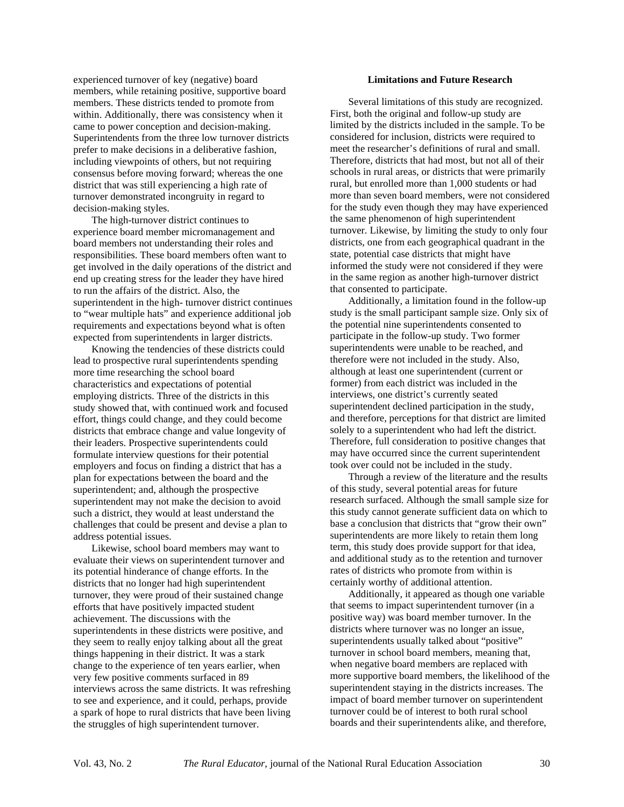experienced turnover of key (negative) board members, while retaining positive, supportive board members. These districts tended to promote from within. Additionally, there was consistency when it came to power conception and decision-making. Superintendents from the three low turnover districts prefer to make decisions in a deliberative fashion, including viewpoints of others, but not requiring consensus before moving forward; whereas the one district that was still experiencing a high rate of turnover demonstrated incongruity in regard to decision-making styles.

The high-turnover district continues to experience board member micromanagement and board members not understanding their roles and responsibilities. These board members often want to get involved in the daily operations of the district and end up creating stress for the leader they have hired to run the affairs of the district. Also, the superintendent in the high- turnover district continues to "wear multiple hats" and experience additional job requirements and expectations beyond what is often expected from superintendents in larger districts.

Knowing the tendencies of these districts could lead to prospective rural superintendents spending more time researching the school board characteristics and expectations of potential employing districts. Three of the districts in this study showed that, with continued work and focused effort, things could change, and they could become districts that embrace change and value longevity of their leaders. Prospective superintendents could formulate interview questions for their potential employers and focus on finding a district that has a plan for expectations between the board and the superintendent; and, although the prospective superintendent may not make the decision to avoid such a district, they would at least understand the challenges that could be present and devise a plan to address potential issues.

Likewise, school board members may want to evaluate their views on superintendent turnover and its potential hinderance of change efforts. In the districts that no longer had high superintendent turnover, they were proud of their sustained change efforts that have positively impacted student achievement. The discussions with the superintendents in these districts were positive, and they seem to really enjoy talking about all the great things happening in their district. It was a stark change to the experience of ten years earlier, when very few positive comments surfaced in 89 interviews across the same districts. It was refreshing to see and experience, and it could, perhaps, provide a spark of hope to rural districts that have been living the struggles of high superintendent turnover.

#### **Limitations and Future Research**

Several limitations of this study are recognized. First, both the original and follow-up study are limited by the districts included in the sample. To be considered for inclusion, districts were required to meet the researcher's definitions of rural and small. Therefore, districts that had most, but not all of their schools in rural areas, or districts that were primarily rural, but enrolled more than 1,000 students or had more than seven board members, were not considered for the study even though they may have experienced the same phenomenon of high superintendent turnover. Likewise, by limiting the study to only four districts, one from each geographical quadrant in the state, potential case districts that might have informed the study were not considered if they were in the same region as another high-turnover district that consented to participate.

Additionally, a limitation found in the follow-up study is the small participant sample size. Only six of the potential nine superintendents consented to participate in the follow-up study. Two former superintendents were unable to be reached, and therefore were not included in the study. Also, although at least one superintendent (current or former) from each district was included in the interviews, one district's currently seated superintendent declined participation in the study, and therefore, perceptions for that district are limited solely to a superintendent who had left the district. Therefore, full consideration to positive changes that may have occurred since the current superintendent took over could not be included in the study.

Through a review of the literature and the results of this study, several potential areas for future research surfaced. Although the small sample size for this study cannot generate sufficient data on which to base a conclusion that districts that "grow their own" superintendents are more likely to retain them long term, this study does provide support for that idea, and additional study as to the retention and turnover rates of districts who promote from within is certainly worthy of additional attention.

Additionally, it appeared as though one variable that seems to impact superintendent turnover (in a positive way) was board member turnover. In the districts where turnover was no longer an issue, superintendents usually talked about "positive" turnover in school board members, meaning that, when negative board members are replaced with more supportive board members, the likelihood of the superintendent staying in the districts increases. The impact of board member turnover on superintendent turnover could be of interest to both rural school boards and their superintendents alike, and therefore,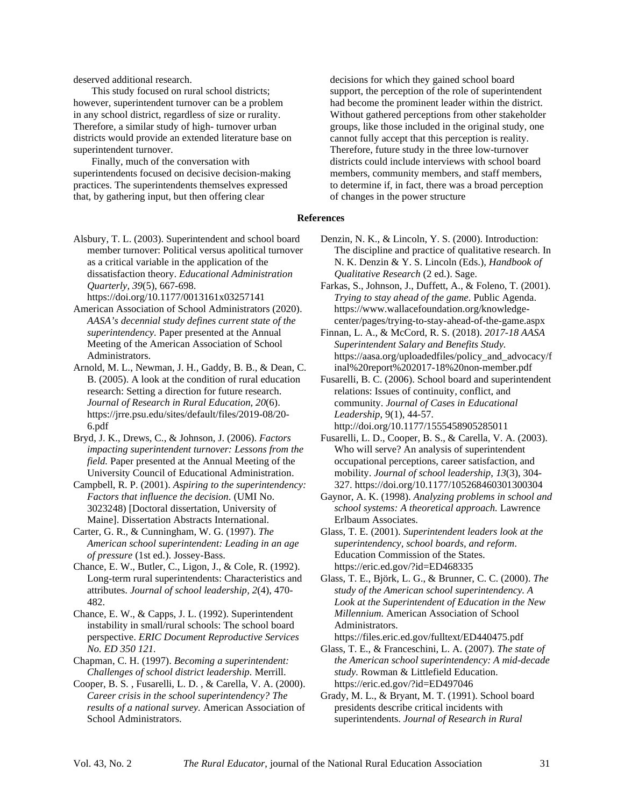deserved additional research.

This study focused on rural school districts; however, superintendent turnover can be a problem in any school district, regardless of size or rurality. Therefore, a similar study of high- turnover urban districts would provide an extended literature base on superintendent turnover.

Finally, much of the conversation with superintendents focused on decisive decision-making practices. The superintendents themselves expressed that, by gathering input, but then offering clear

- Alsbury, T. L. (2003). Superintendent and school board member turnover: Political versus apolitical turnover as a critical variable in the application of the dissatisfaction theory. *Educational Administration Quarterly, 39*(5), 667-698. <https://doi.org/10.1177/0013161x03257141>
- American Association of School Administrators (2020). *AASA's decennial study defines current state of the superintendency.* Paper presented at the Annual Meeting of the American Association of School Administrators.
- Arnold, M. L., Newman, J. H., Gaddy, B. B., & Dean, C. B. (2005). A look at the condition of rural education research: Setting a direction for future research. *Journal of Research in Rural Education, 20*(6). [https://jrre.psu.edu/sites/default/files/2019-08/20-](https://jrre.psu.edu/sites/default/files/2019-08/20-6.pdf) [6.pdf](https://jrre.psu.edu/sites/default/files/2019-08/20-6.pdf)
- Bryd, J. K., Drews, C., & Johnson, J. (2006). *Factors impacting superintendent turnover: Lessons from the field.* Paper presented at the Annual Meeting of the University Council of Educational Administration.
- Campbell, R. P. (2001). *Aspiring to the superintendency: Factors that influence the decision*. (UMI No. 3023248) [Doctoral dissertation, University of Maine]. Dissertation Abstracts International.
- Carter, G. R., & Cunningham, W. G. (1997). *The American school superintendent: Leading in an age of pressure* (1st ed.). Jossey-Bass.
- Chance, E. W., Butler, C., Ligon, J., & Cole, R. (1992). Long-term rural superintendents: Characteristics and attributes. *Journal of school leadership, 2*(4), 470- 482.
- Chance, E. W., & Capps, J. L. (1992). Superintendent instability in small/rural schools: The school board perspective. *ERIC Document Reproductive Services No. ED 350 121.*
- Chapman, C. H. (1997). *Becoming a superintendent: Challenges of school district leadership.* Merrill.
- Cooper, B. S. , Fusarelli, L. D. , & Carella, V. A. (2000). *Career crisis in the school superintendency? The results of a national survey.* American Association of School Administrators.

decisions for which they gained school board support, the perception of the role of superintendent had become the prominent leader within the district. Without gathered perceptions from other stakeholder groups, like those included in the original study, one cannot fully accept that this perception is reality. Therefore, future study in the three low-turnover districts could include interviews with school board members, community members, and staff members, to determine if, in fact, there was a broad perception of changes in the power structure

# **References**

- Denzin, N. K., & Lincoln, Y. S. (2000). Introduction: The discipline and practice of qualitative research. In N. K. Denzin & Y. S. Lincoln (Eds.), *Handbook of Qualitative Research* (2 ed.). Sage.
- Farkas, S., Johnson, J., Duffett, A., & Foleno, T. (2001). *Trying to stay ahead of the game*. Public Agenda. [https://www.wallacefoundation.org/knowledge](https://www.wallacefoundation.org/knowledge-center/pages/trying-to-stay-ahead-of-the-game.aspx)[center/pages/trying-to-stay-ahead-of-the-game.aspx](https://www.wallacefoundation.org/knowledge-center/pages/trying-to-stay-ahead-of-the-game.aspx)
- Finnan, L. A., & McCord, R. S. (2018). *2017-18 AASA Superintendent Salary and Benefits Study.*  [https://aasa.org/uploadedfiles/policy\\_and\\_advocacy/f](https://aasa.org/uploadedfiles/policy_and_advocacy/final%20report%202017-18%20non-member.pdf) [inal%20report%202017-18%20non-member.pdf](https://aasa.org/uploadedfiles/policy_and_advocacy/final%20report%202017-18%20non-member.pdf)
- Fusarelli, B. C. (2006). School board and superintendent relations: Issues of continuity, conflict, and community. *Journal of Cases in Educational Leadership*, 9(1), 44-57. <http://doi.org/10.1177/1555458905285011>
- Fusarelli, L. D., Cooper, B. S., & Carella, V. A. (2003). Who will serve? An analysis of superintendent occupational perceptions, career satisfaction, and mobility. *Journal of school leadership*, *13*(3), 304- 327.<https://doi.org/10.1177/105268460301300304>
- Gaynor, A. K. (1998). *Analyzing problems in school and school systems: A theoretical approach.* Lawrence Erlbaum Associates.
- Glass, T. E. (2001). *Superintendent leaders look at the superintendency, school boards, and reform*. Education Commission of the States. https://eric.ed.gov/?id=ED468335
- Glass, T. E., Björk, L. G., & Brunner, C. C. (2000). *The study of the American school superintendency. A Look at the Superintendent of Education in the New Millennium.* American Association of School Administrators.

https://files.eric.ed.gov/fulltext/ED440475.pdf

- Glass, T. E., & Franceschini, L. A. (2007). *The state of the American school superintendency: A mid-decade study.* Rowman & Littlefield Education. https://eric.ed.gov/?id=ED497046
- Grady, M. L., & Bryant, M. T. (1991). School board presidents describe critical incidents with superintendents. *Journal of Research in Rural*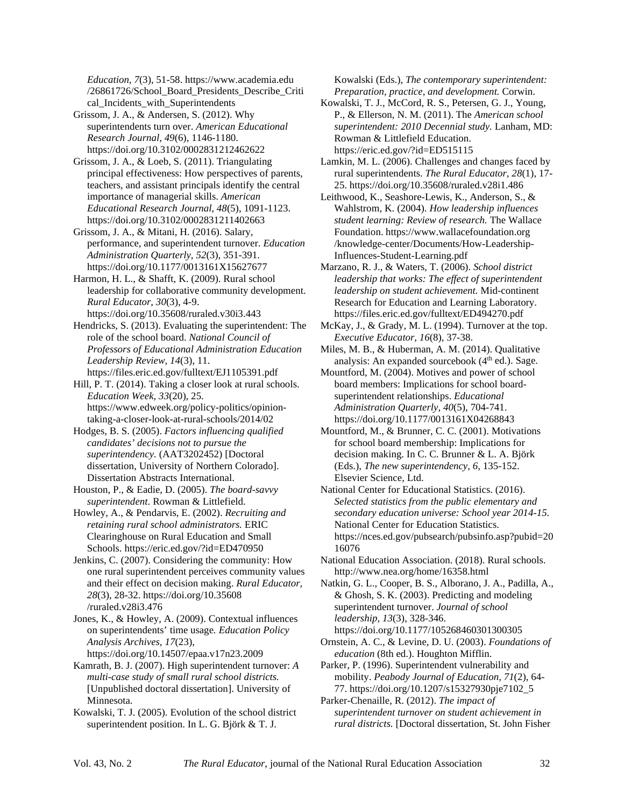*Education, 7*(3), 51-58[. https://www.academia.edu](https://www.academia.edu/26861726/School_Board_Presidents_Describe_Critical_Incidents_with_Superintendents) [/26861726/School\\_Board\\_Presidents\\_Describe\\_Criti](https://www.academia.edu/26861726/School_Board_Presidents_Describe_Critical_Incidents_with_Superintendents) cal Incidents with Superintendents

Grissom, J. A., & Andersen, S. (2012). Why superintendents turn over. *American Educational Research Journal, 49*(6), 1146-1180. <https://doi.org/10.3102/0002831212462622>

Grissom, J. A., & Loeb, S. (2011). Triangulating principal effectiveness: How perspectives of parents, teachers, and assistant principals identify the central importance of managerial skills. *American Educational Research Journal, 48*(5), 1091-1123. https://doi.org/10.3102/0002831211402663

Grissom, J. A., & Mitani, H. (2016). Salary, performance, and superintendent turnover. *Education Administration Quarterly, 52*(3), 351-391. https://doi.org/10.1177/0013161X15627677

Harmon, H. L., & Shafft, K. (2009). Rural school leadership for collaborative community development. *Rural Educator, 30*(3), 4-9. https://doi.org/10.35608/ruraled.v30i3.443

Hendricks, S. (2013). Evaluating the superintendent: The role of the school board. *National Council of Professors of Educational Administration Education Leadership Review, 14*(3), 11.

<https://files.eric.ed.gov/fulltext/EJ1105391.pdf> Hill, P. T. (2014). Taking a closer look at rural schools. *Education Week, 33*(20), 25.

[https://www.edweek.org/policy-politics/opinion](https://www.edweek.org/policy-politics/opinion-taking-a-closer-look-at-rural-schools/2014/02)[taking-a-closer-look-at-rural-schools/2014/02](https://www.edweek.org/policy-politics/opinion-taking-a-closer-look-at-rural-schools/2014/02)

Hodges, B. S. (2005). *Factors influencing qualified candidates' decisions not to pursue the superintendency.* (AAT3202452) [Doctoral dissertation, University of Northern Colorado]. Dissertation Abstracts International.

Houston, P., & Eadie, D. (2005). *The board-savvy superintendent*. Rowman & Littlefield.

Howley, A., & Pendarvis, E. (2002). *Recruiting and retaining rural school administrators.* ERIC Clearinghouse on Rural Education and Small Schools. https://eric.ed.gov/?id=ED470950

Jenkins, C. (2007). Considering the community: How one rural superintendent perceives community values and their effect on decision making. *Rural Educator, 28*(3), 28-32[. https://doi.org/10.35608](https://doi.org/10.35608/ruraled.v28i3.476) [/ruraled.v28i3.476](https://doi.org/10.35608/ruraled.v28i3.476)

Jones, K., & Howley, A. (2009). Contextual influences on superintendents' time usage*. Education Policy Analysis Archives, 17*(23), <https://doi.org/10.14507/epaa.v17n23.2009>

Kamrath, B. J. (2007). High superintendent turnover: *A multi-case study of small rural school districts.* [Unpublished doctoral dissertation]. University of Minnesota.

Kowalski, T. J. (2005). Evolution of the school district superintendent position. In L. G. Björk & T. J.

Kowalski (Eds.), *The contemporary superintendent: Preparation, practice, and development.* Corwin.

Kowalski, T. J., McCord, R. S., Petersen, G. J., Young, P., & Ellerson, N. M. (2011). The *American school superintendent: 2010 Decennial study.* Lanham, MD: Rowman & Littlefield Education. https://eric.ed.gov/?id=ED515115

Lamkin, M. L. (2006). Challenges and changes faced by rural superintendents. *The Rural Educator, 28*(1), 17- 25.<https://doi.org/10.35608/ruraled.v28i1.486>

Leithwood, K., Seashore-Lewis, K., Anderson, S., & Wahlstrom, K. (2004). *How leadership influences student learning: Review of research.* The Wallace Foundation. [https://www.wallacefoundation.org](https://www.wallacefoundation.org/) /knowledge-center/Documents/How-Leadership-Influences-Student-Learning.pdf

Marzano, R. J., & Waters, T. (2006). *School district leadership that works: The effect of superintendent leadership on student achievement.* Mid-continent Research for Education and Learning Laboratory. <https://files.eric.ed.gov/fulltext/ED494270.pdf>

McKay, J., & Grady, M. L. (1994). Turnover at the top. *Executive Educator, 16*(8), 37-38.

Miles, M. B., & Huberman, A. M. (2014). Qualitative analysis: An expanded sourcebook  $(4<sup>th</sup>$  ed.). Sage.

Mountford, M. (2004). Motives and power of school board members: Implications for school boardsuperintendent relationships. *Educational Administration Quarterly, 40*(5), 704-741. [https://doi.org/10.1177/0013161X04268843](https://doi.org/10.1177%2F0013161X04268843) 

Mountford, M., & Brunner, C. C. (2001). Motivations for school board membership: Implications for decision making. In C. C. Brunner & L. A. Björk (Eds.), *The new superintendency, 6*, 135-152. Elsevier Science, Ltd.

National Center for Educational Statistics. (2016). *Selected statistics from the public elementary and secondary education universe: School year 2014-15.* National Center for Education Statistics. [https://nces.ed.gov/pubsearch/pubsinfo.asp?pubid=20](https://nces.ed.gov/pubsearch/pubsinfo.asp?pubid=2016076) [16076](https://nces.ed.gov/pubsearch/pubsinfo.asp?pubid=2016076)

National Education Association. (2018). Rural schools. http://www.nea.org/home/16358.html

Natkin, G. L., Cooper, B. S., Alborano, J. A., Padilla, A., & Ghosh, S. K. (2003). Predicting and modeling superintendent turnover. *Journal of school leadership, 13*(3), 328-346. [https://doi.org/10.1177/105268460301300305](https://doi.org/10.1177%2F105268460301300305)

Ornstein, A. C., & Levine, D. U. (2003). *Foundations of education* (8th ed.). Houghton Mifflin.

Parker, P. (1996). Superintendent vulnerability and mobility. *Peabody Journal of Education, 71*(2), 64- 77. [https://doi.org/10.1207/s15327930pje7102\\_5](https://doi.org/10.1207/s15327930pje7102_5)

Parker-Chenaille, R. (2012). *The impact of superintendent turnover on student achievement in rural districts.* [Doctoral dissertation, St. John Fisher